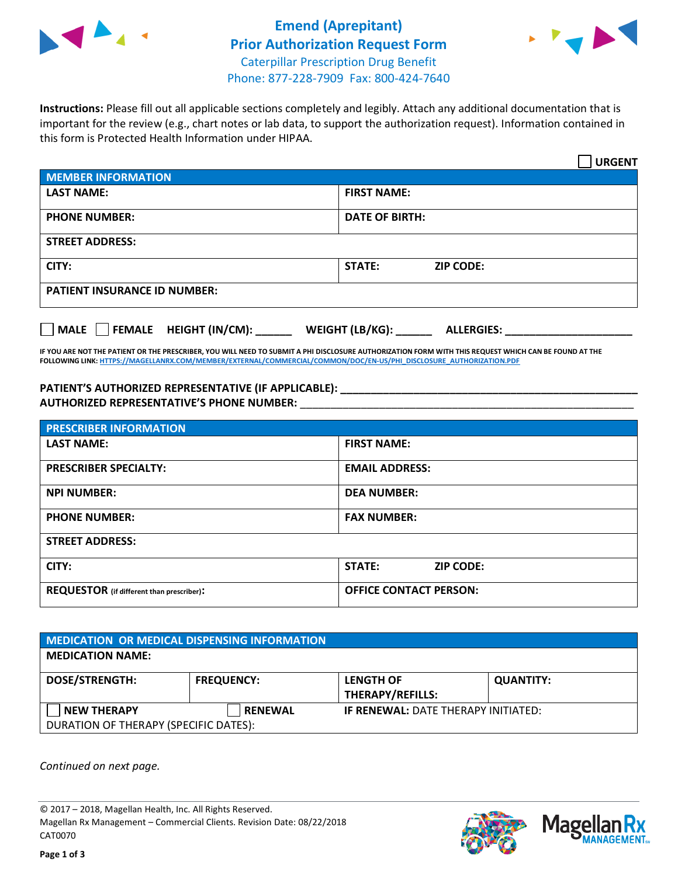



**Instructions:** Please fill out all applicable sections completely and legibly. Attach any additional documentation that is important for the review (e.g., chart notes or lab data, to support the authorization request). Information contained in this form is Protected Health Information under HIPAA.

|                                            | <b>URGENT</b>                        |  |
|--------------------------------------------|--------------------------------------|--|
| <b>MEMBER INFORMATION</b>                  |                                      |  |
| <b>LAST NAME:</b>                          | <b>FIRST NAME:</b>                   |  |
| <b>PHONE NUMBER:</b>                       | <b>DATE OF BIRTH:</b>                |  |
| <b>STREET ADDRESS:</b>                     |                                      |  |
| CITY:                                      | STATE:<br><b>ZIP CODE:</b>           |  |
| <b>PATIENT INSURANCE ID NUMBER:</b>        |                                      |  |
| FEMALE HEIGHT (IN/CM):<br>$ $ MALE $ $ $ $ | WEIGHT (LB/KG):<br><b>ALLERGIES:</b> |  |

**IF YOU ARE NOT THE PATIENT OR THE PRESCRIBER, YOU WILL NEED TO SUBMIT A PHI DISCLOSURE AUTHORIZATION FORM WITH THIS REQUEST WHICH CAN BE FOUND AT THE FOLLOWING LINK[: HTTPS://MAGELLANRX.COM/MEMBER/EXTERNAL/COMMERCIAL/COMMON/DOC/EN-US/PHI\\_DISCLOSURE\\_AUTHORIZATION.PDF](https://magellanrx.com/member/external/commercial/common/doc/en-us/PHI_Disclosure_Authorization.pdf)**

**PATIENT'S AUTHORIZED REPRESENTATIVE (IF APPLICABLE): \_\_\_\_\_\_\_\_\_\_\_\_\_\_\_\_\_\_\_\_\_\_\_\_\_\_\_\_\_\_\_\_\_\_\_\_\_\_\_\_\_\_\_\_\_\_\_\_\_ AUTHORIZED REPRESENTATIVE'S PHONE NUMBER:** \_\_\_\_\_\_\_\_\_\_\_\_\_\_\_\_\_\_\_\_\_\_\_\_\_\_\_\_\_\_\_\_\_\_\_\_\_\_\_\_\_\_\_\_\_\_\_\_\_\_\_\_\_\_\_

| <b>PRESCRIBER INFORMATION</b>             |                               |  |  |  |
|-------------------------------------------|-------------------------------|--|--|--|
| <b>LAST NAME:</b>                         | <b>FIRST NAME:</b>            |  |  |  |
| <b>PRESCRIBER SPECIALTY:</b>              | <b>EMAIL ADDRESS:</b>         |  |  |  |
| <b>NPI NUMBER:</b>                        | <b>DEA NUMBER:</b>            |  |  |  |
| <b>PHONE NUMBER:</b>                      | <b>FAX NUMBER:</b>            |  |  |  |
| <b>STREET ADDRESS:</b>                    |                               |  |  |  |
| CITY:                                     | STATE:<br><b>ZIP CODE:</b>    |  |  |  |
| REQUESTOR (if different than prescriber): | <b>OFFICE CONTACT PERSON:</b> |  |  |  |

| <b>MEDICATION OR MEDICAL DISPENSING INFORMATION</b>         |                   |                                             |                  |  |  |
|-------------------------------------------------------------|-------------------|---------------------------------------------|------------------|--|--|
| <b>MEDICATION NAME:</b>                                     |                   |                                             |                  |  |  |
| <b>DOSE/STRENGTH:</b>                                       | <b>FREQUENCY:</b> | <b>LENGTH OF</b><br><b>THERAPY/REFILLS:</b> | <b>QUANTITY:</b> |  |  |
| <b>NEW THERAPY</b><br>DURATION OF THERAPY (SPECIFIC DATES): | <b>RENEWAL</b>    | <b>IF RENEWAL: DATE THERAPY INITIATED:</b>  |                  |  |  |

*Continued on next page.*

© 2017 – 2018, Magellan Health, Inc. All Rights Reserved. Magellan Rx Management – Commercial Clients. Revision Date: 08/22/2018 CAT0070



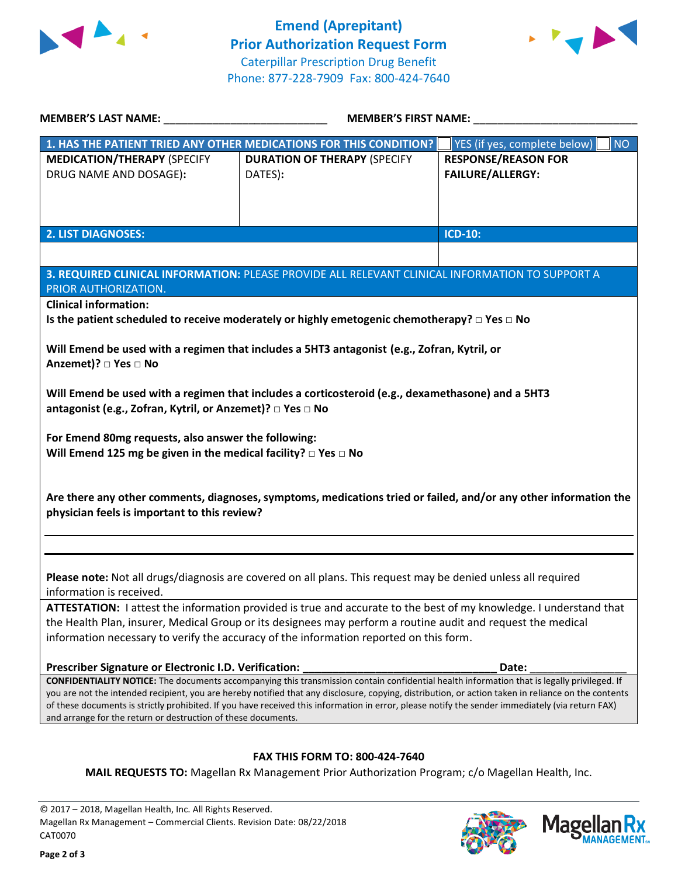



| <b>MEMBER'S LAST NAME:</b>                                                                                                                                                                                                                                                                              | <b>MEMBER'S FIRST NAME:</b>                                                                                                                 |                                           |  |  |
|---------------------------------------------------------------------------------------------------------------------------------------------------------------------------------------------------------------------------------------------------------------------------------------------------------|---------------------------------------------------------------------------------------------------------------------------------------------|-------------------------------------------|--|--|
|                                                                                                                                                                                                                                                                                                         | 1. HAS THE PATIENT TRIED ANY OTHER MEDICATIONS FOR THIS CONDITION?                                                                          | YES (if yes, complete below)<br><b>NO</b> |  |  |
| <b>MEDICATION/THERAPY (SPECIFY</b>                                                                                                                                                                                                                                                                      | <b>DURATION OF THERAPY (SPECIFY</b>                                                                                                         | <b>RESPONSE/REASON FOR</b>                |  |  |
| DRUG NAME AND DOSAGE):                                                                                                                                                                                                                                                                                  | DATES):                                                                                                                                     | <b>FAILURE/ALLERGY:</b>                   |  |  |
|                                                                                                                                                                                                                                                                                                         |                                                                                                                                             |                                           |  |  |
|                                                                                                                                                                                                                                                                                                         |                                                                                                                                             |                                           |  |  |
| <b>2. LIST DIAGNOSES:</b>                                                                                                                                                                                                                                                                               |                                                                                                                                             | <b>ICD-10:</b>                            |  |  |
|                                                                                                                                                                                                                                                                                                         |                                                                                                                                             |                                           |  |  |
|                                                                                                                                                                                                                                                                                                         | 3. REQUIRED CLINICAL INFORMATION: PLEASE PROVIDE ALL RELEVANT CLINICAL INFORMATION TO SUPPORT A                                             |                                           |  |  |
| PRIOR AUTHORIZATION.                                                                                                                                                                                                                                                                                    |                                                                                                                                             |                                           |  |  |
| <b>Clinical information:</b>                                                                                                                                                                                                                                                                            |                                                                                                                                             |                                           |  |  |
|                                                                                                                                                                                                                                                                                                         | Is the patient scheduled to receive moderately or highly emetogenic chemotherapy? $\square$ Yes $\square$ No                                |                                           |  |  |
|                                                                                                                                                                                                                                                                                                         |                                                                                                                                             |                                           |  |  |
|                                                                                                                                                                                                                                                                                                         | Will Emend be used with a regimen that includes a 5HT3 antagonist (e.g., Zofran, Kytril, or                                                 |                                           |  |  |
| Anzemet)? □ Yes □ No                                                                                                                                                                                                                                                                                    |                                                                                                                                             |                                           |  |  |
|                                                                                                                                                                                                                                                                                                         | Will Emend be used with a regimen that includes a corticosteroid (e.g., dexamethasone) and a 5HT3                                           |                                           |  |  |
| antagonist (e.g., Zofran, Kytril, or Anzemet)? □ Yes □ No                                                                                                                                                                                                                                               |                                                                                                                                             |                                           |  |  |
|                                                                                                                                                                                                                                                                                                         |                                                                                                                                             |                                           |  |  |
| For Emend 80mg requests, also answer the following:                                                                                                                                                                                                                                                     |                                                                                                                                             |                                           |  |  |
| Will Emend 125 mg be given in the medical facility? $\square$ Yes $\square$ No                                                                                                                                                                                                                          |                                                                                                                                             |                                           |  |  |
|                                                                                                                                                                                                                                                                                                         |                                                                                                                                             |                                           |  |  |
|                                                                                                                                                                                                                                                                                                         |                                                                                                                                             |                                           |  |  |
|                                                                                                                                                                                                                                                                                                         | Are there any other comments, diagnoses, symptoms, medications tried or failed, and/or any other information the                            |                                           |  |  |
| physician feels is important to this review?                                                                                                                                                                                                                                                            |                                                                                                                                             |                                           |  |  |
|                                                                                                                                                                                                                                                                                                         |                                                                                                                                             |                                           |  |  |
|                                                                                                                                                                                                                                                                                                         |                                                                                                                                             |                                           |  |  |
|                                                                                                                                                                                                                                                                                                         | Please note: Not all drugs/diagnosis are covered on all plans. This request may be denied unless all required                               |                                           |  |  |
| information is received.                                                                                                                                                                                                                                                                                |                                                                                                                                             |                                           |  |  |
|                                                                                                                                                                                                                                                                                                         | ATTESTATION: I attest the information provided is true and accurate to the best of my knowledge. I understand that                          |                                           |  |  |
| the Health Plan, insurer, Medical Group or its designees may perform a routine audit and request the medical                                                                                                                                                                                            |                                                                                                                                             |                                           |  |  |
| information necessary to verify the accuracy of the information reported on this form.                                                                                                                                                                                                                  |                                                                                                                                             |                                           |  |  |
|                                                                                                                                                                                                                                                                                                         |                                                                                                                                             |                                           |  |  |
| Prescriber Signature or Electronic I.D. Verification:                                                                                                                                                                                                                                                   |                                                                                                                                             | Date:                                     |  |  |
|                                                                                                                                                                                                                                                                                                         | CONFIDENTIALITY NOTICE: The documents accompanying this transmission contain confidential health information that is legally privileged. If |                                           |  |  |
| you are not the intended recipient, you are hereby notified that any disclosure, copying, distribution, or action taken in reliance on the contents<br>of these documents is strictly prohibited. If you have received this information in error, please notify the sender immediately (via return FAX) |                                                                                                                                             |                                           |  |  |
| and arrange for the return or destruction of these documents.                                                                                                                                                                                                                                           |                                                                                                                                             |                                           |  |  |
|                                                                                                                                                                                                                                                                                                         |                                                                                                                                             |                                           |  |  |
|                                                                                                                                                                                                                                                                                                         | FAX THIS FORM TO: 800-424-7640                                                                                                              |                                           |  |  |
|                                                                                                                                                                                                                                                                                                         | MAIL REQUESTS TO: Magellan Rx Management Prior Authorization Program; c/o Magellan Health, Inc.                                             |                                           |  |  |

© 2017 – 2018, Magellan Health, Inc. All Rights Reserved. Magellan Rx Management – Commercial Clients. Revision Date: 08/22/2018 CAT0070